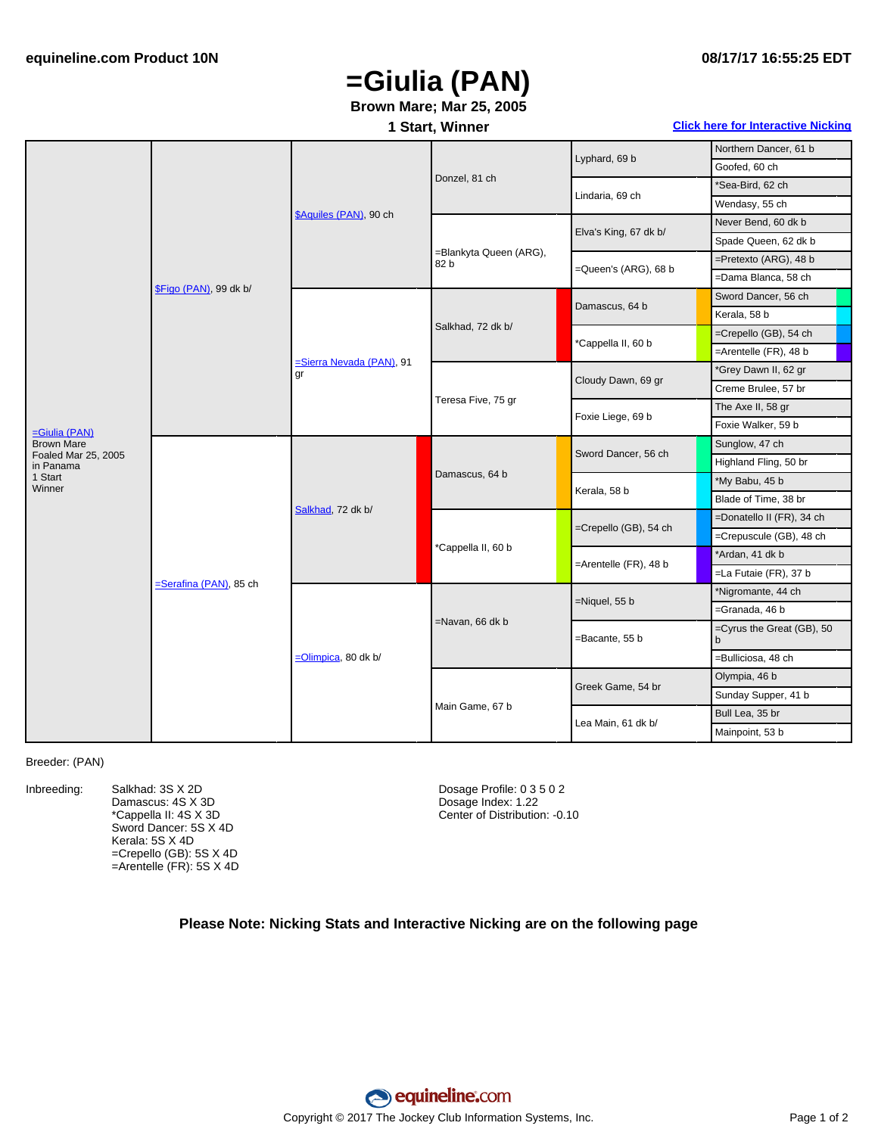#### **08/17/17 16:55:25 EDT**

# **=Giulia (PAN)**

### **Brown Mare; Mar 25, 2005**

### **1 Start, Winner Click here for [Interactive](#page-1-0) Nicking**

|                                          | \$Figo (PAN), 99 dk b/ | \$Aquiles (PAN), 90 ch                 | Donzel, 81 ch                  | Lyphard, 69 b         | Northern Dancer, 61 b          |
|------------------------------------------|------------------------|----------------------------------------|--------------------------------|-----------------------|--------------------------------|
|                                          |                        |                                        |                                |                       | Goofed, 60 ch                  |
|                                          |                        |                                        |                                | Lindaria, 69 ch       | *Sea-Bird, 62 ch               |
|                                          |                        |                                        |                                |                       | Wendasy, 55 ch                 |
|                                          |                        |                                        | =Blankyta Queen (ARG),<br>82 b | Elva's King, 67 dk b/ | Never Bend, 60 dk b            |
|                                          |                        |                                        |                                |                       | Spade Queen, 62 dk b           |
|                                          |                        |                                        |                                | =Queen's (ARG), 68 b  | $=$ Pretexto (ARG), 48 b       |
|                                          |                        |                                        |                                |                       | =Dama Blanca, 58 ch            |
|                                          |                        | <b>=Sierra Nevada (PAN)</b> , 91<br>qr | Salkhad, 72 dk b/              | Damascus, 64 b        | Sword Dancer, 56 ch            |
|                                          |                        |                                        |                                |                       | Kerala, 58 b                   |
|                                          |                        |                                        |                                | *Cappella II, 60 b    | =Crepello (GB), 54 ch          |
|                                          |                        |                                        |                                |                       | $=$ Arentelle (FR), 48 b       |
|                                          |                        |                                        | Teresa Five, 75 gr             | Cloudy Dawn, 69 gr    | *Grey Dawn II, 62 gr           |
|                                          |                        |                                        |                                |                       | Creme Brulee, 57 br            |
|                                          |                        |                                        |                                | Foxie Liege, 69 b     | The Axe II, 58 gr              |
| =Giulia (PAN)                            |                        |                                        |                                |                       | Foxie Walker, 59 b             |
| <b>Brown Mare</b><br>Foaled Mar 25, 2005 | Serafina (PAN), 85 ch  | Salkhad, 72 dk b/                      | Damascus, 64 b                 | Sword Dancer, 56 ch   | Sunglow, 47 ch                 |
| in Panama                                |                        |                                        |                                |                       | Highland Fling, 50 br          |
| 1 Start<br>Winner                        |                        |                                        |                                | Kerala, 58 b          | *My Babu, 45 b                 |
|                                          |                        |                                        |                                |                       | Blade of Time, 38 br           |
|                                          |                        |                                        | *Cappella II, 60 b             | =Crepello (GB), 54 ch | =Donatello II (FR), 34 ch      |
|                                          |                        |                                        |                                |                       | =Crepuscule (GB), 48 ch        |
|                                          |                        |                                        |                                | =Arentelle (FR), 48 b | *Ardan, 41 dk b                |
|                                          |                        |                                        |                                |                       | =La Futaie (FR), 37 b          |
|                                          |                        | =Olimpica, 80 dk b/                    | =Navan, 66 dk b                | $=$ Niquel, 55 b      | *Nigromante, 44 ch             |
|                                          |                        |                                        |                                |                       | =Granada, 46 b                 |
|                                          |                        |                                        |                                | =Bacante, 55 b        | =Cyrus the Great (GB), 50<br>b |
|                                          |                        |                                        |                                |                       | =Bulliciosa, 48 ch             |
|                                          |                        |                                        | Main Game, 67 b                | Greek Game, 54 br     | Olympia, 46 b                  |
|                                          |                        |                                        |                                |                       | Sunday Supper, 41 b            |
|                                          |                        |                                        |                                | Lea Main, 61 dk b/    | Bull Lea, 35 br                |
|                                          |                        |                                        |                                |                       | Mainpoint, 53 b                |

#### Breeder: (PAN)

Inbreeding: Salkhad: 3S X 2D Damascus: 4S X 3D \*Cappella II: 4S X 3D Sword Dancer: 5S X 4D Kerala: 5S X 4D =Crepello (GB): 5S X 4D =Arentelle (FR): 5S X 4D Dosage Profile: 0 3 5 0 2 Dosage Index: 1.22 Center of Distribution: -0.10

#### **Please Note: Nicking Stats and Interactive Nicking are on the following page**